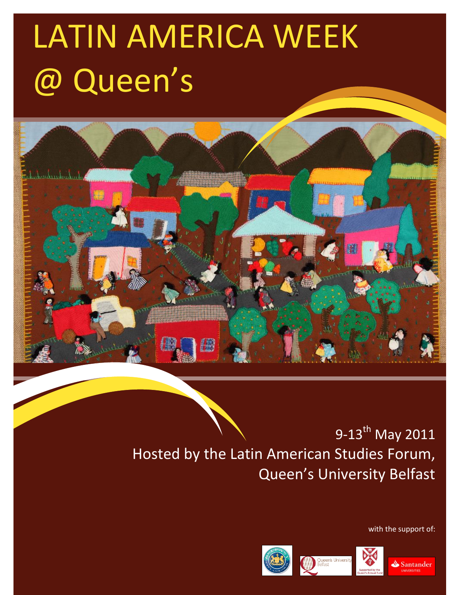# LATIN AMERICA WEEK @ Queen's



## 9-13<sup>th</sup> May 2011 Hosted by the Latin American Studies Forum, Queen's University Belfast

with the support of: